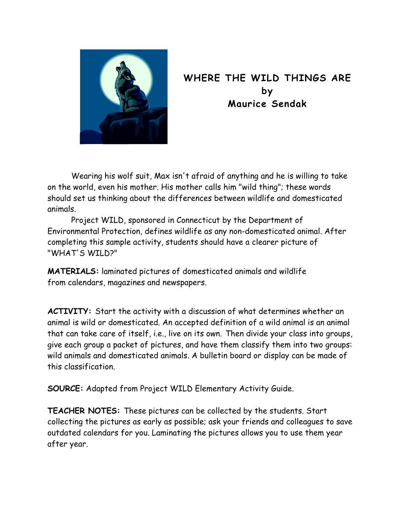

## **WHERE THE WILD THINGS ARE by Maurice Sendak**

Wearing his wolf suit, Max isn't afraid of anything and he is willing to take on the world, even his mother. His mother calls him "wild thing"; these words should set us thinking about the differences between wildlife and domesticated animals.

 Project WILD, sponsored in Connecticut by the Department of Environmental Protection, defines wildlife as any non-domesticated animal. After completing this sample activity, students should have a clearer picture of "WHAT'S WILD?"

**MATERIALS:** laminated pictures of domesticated animals and wildlife from calendars, magazines and newspapers.

**ACTIVITY:** Start the activity with a discussion of what determines whether an animal is wild or domesticated. An accepted definition of a wild animal is an animal that can take care of itself, i.e., live on its own. Then divide your class into groups, give each group a packet of pictures, and have them classify them into two groups: wild animals and domesticated animals. A bulletin board or display can be made of this classification.

**SOURCE:** Adapted from Project WILD Elementary Activity Guide.

**TEACHER NOTES:** These pictures can be collected by the students. Start collecting the pictures as early as possible; ask your friends and colleagues to save outdated calendars for you. Laminating the pictures allows you to use them year after year.